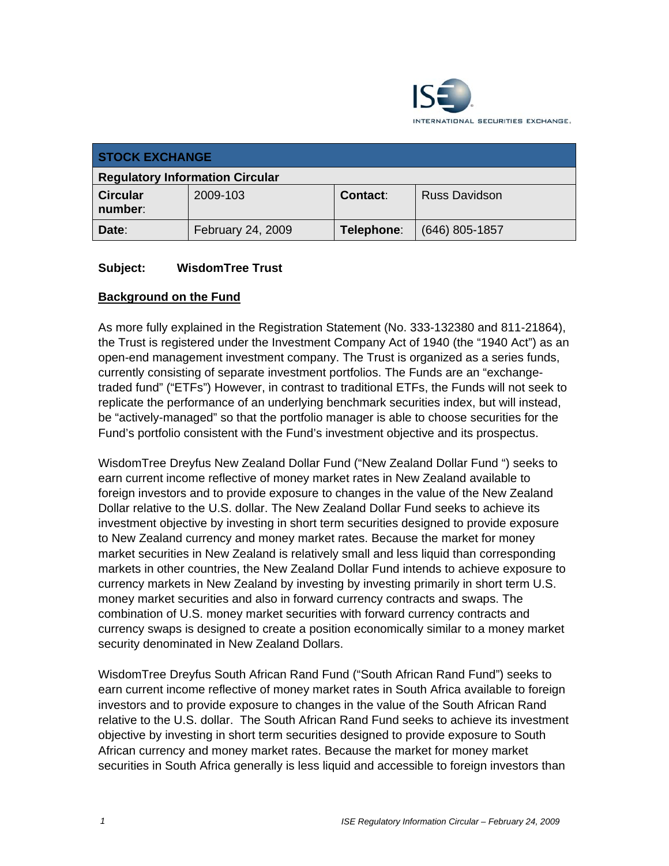

| <b>STOCK EXCHANGE</b>                  |                   |                 |                      |
|----------------------------------------|-------------------|-----------------|----------------------|
| <b>Regulatory Information Circular</b> |                   |                 |                      |
| <b>Circular</b><br>number:             | 2009-103          | <b>Contact:</b> | <b>Russ Davidson</b> |
| Date:                                  | February 24, 2009 | Telephone:      | $(646)$ 805-1857     |

## **Subject: WisdomTree Trust**

## **Background on the Fund**

As more fully explained in the Registration Statement (No. 333-132380 and 811-21864), the Trust is registered under the Investment Company Act of 1940 (the "1940 Act") as an open-end management investment company. The Trust is organized as a series funds, currently consisting of separate investment portfolios. The Funds are an "exchangetraded fund" ("ETFs") However, in contrast to traditional ETFs, the Funds will not seek to replicate the performance of an underlying benchmark securities index, but will instead, be "actively-managed" so that the portfolio manager is able to choose securities for the Fund's portfolio consistent with the Fund's investment objective and its prospectus.

WisdomTree Dreyfus New Zealand Dollar Fund ("New Zealand Dollar Fund ") seeks to earn current income reflective of money market rates in New Zealand available to foreign investors and to provide exposure to changes in the value of the New Zealand Dollar relative to the U.S. dollar. The New Zealand Dollar Fund seeks to achieve its investment objective by investing in short term securities designed to provide exposure to New Zealand currency and money market rates. Because the market for money market securities in New Zealand is relatively small and less liquid than corresponding markets in other countries, the New Zealand Dollar Fund intends to achieve exposure to currency markets in New Zealand by investing by investing primarily in short term U.S. money market securities and also in forward currency contracts and swaps. The combination of U.S. money market securities with forward currency contracts and currency swaps is designed to create a position economically similar to a money market security denominated in New Zealand Dollars.

WisdomTree Dreyfus South African Rand Fund ("South African Rand Fund") seeks to earn current income reflective of money market rates in South Africa available to foreign investors and to provide exposure to changes in the value of the South African Rand relative to the U.S. dollar. The South African Rand Fund seeks to achieve its investment objective by investing in short term securities designed to provide exposure to South African currency and money market rates. Because the market for money market securities in South Africa generally is less liquid and accessible to foreign investors than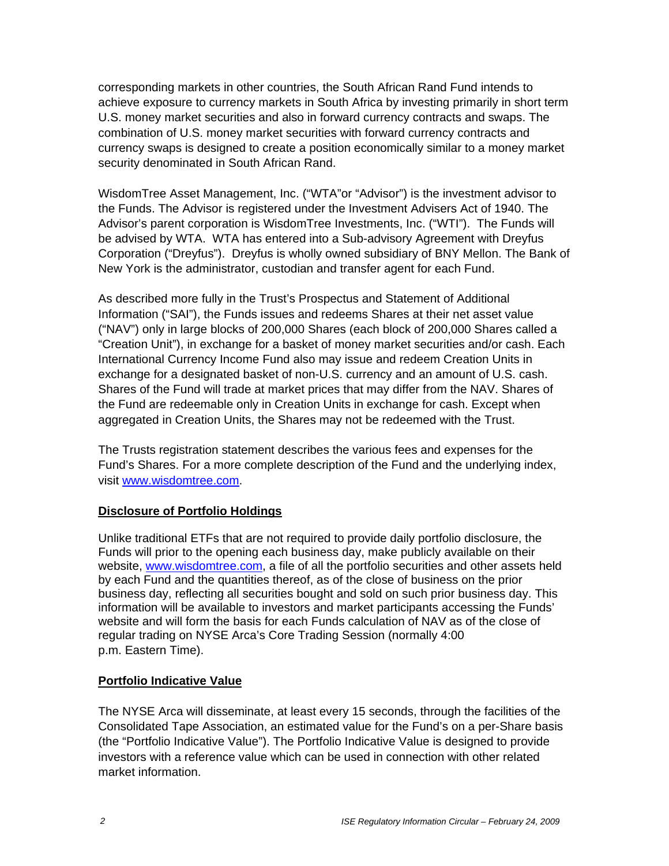corresponding markets in other countries, the South African Rand Fund intends to achieve exposure to currency markets in South Africa by investing primarily in short term U.S. money market securities and also in forward currency contracts and swaps. The combination of U.S. money market securities with forward currency contracts and currency swaps is designed to create a position economically similar to a money market security denominated in South African Rand.

WisdomTree Asset Management, Inc. ("WTA"or "Advisor") is the investment advisor to the Funds. The Advisor is registered under the Investment Advisers Act of 1940. The Advisor's parent corporation is WisdomTree Investments, Inc. ("WTI"). The Funds will be advised by WTA. WTA has entered into a Sub-advisory Agreement with Dreyfus Corporation ("Dreyfus"). Dreyfus is wholly owned subsidiary of BNY Mellon. The Bank of New York is the administrator, custodian and transfer agent for each Fund.

As described more fully in the Trust's Prospectus and Statement of Additional Information ("SAI"), the Funds issues and redeems Shares at their net asset value ("NAV") only in large blocks of 200,000 Shares (each block of 200,000 Shares called a "Creation Unit"), in exchange for a basket of money market securities and/or cash. Each International Currency Income Fund also may issue and redeem Creation Units in exchange for a designated basket of non-U.S. currency and an amount of U.S. cash. Shares of the Fund will trade at market prices that may differ from the NAV. Shares of the Fund are redeemable only in Creation Units in exchange for cash. Except when aggregated in Creation Units, the Shares may not be redeemed with the Trust.

The Trusts registration statement describes the various fees and expenses for the Fund's Shares. For a more complete description of the Fund and the underlying index, visit www.wisdomtree.com.

#### **Disclosure of Portfolio Holdings**

Unlike traditional ETFs that are not required to provide daily portfolio disclosure, the Funds will prior to the opening each business day, make publicly available on their website, www.wisdomtree.com, a file of all the portfolio securities and other assets held by each Fund and the quantities thereof, as of the close of business on the prior business day, reflecting all securities bought and sold on such prior business day. This information will be available to investors and market participants accessing the Funds' website and will form the basis for each Funds calculation of NAV as of the close of regular trading on NYSE Arca's Core Trading Session (normally 4:00 p.m. Eastern Time).

#### **Portfolio Indicative Value**

The NYSE Arca will disseminate, at least every 15 seconds, through the facilities of the Consolidated Tape Association, an estimated value for the Fund's on a per-Share basis (the "Portfolio Indicative Value"). The Portfolio Indicative Value is designed to provide investors with a reference value which can be used in connection with other related market information.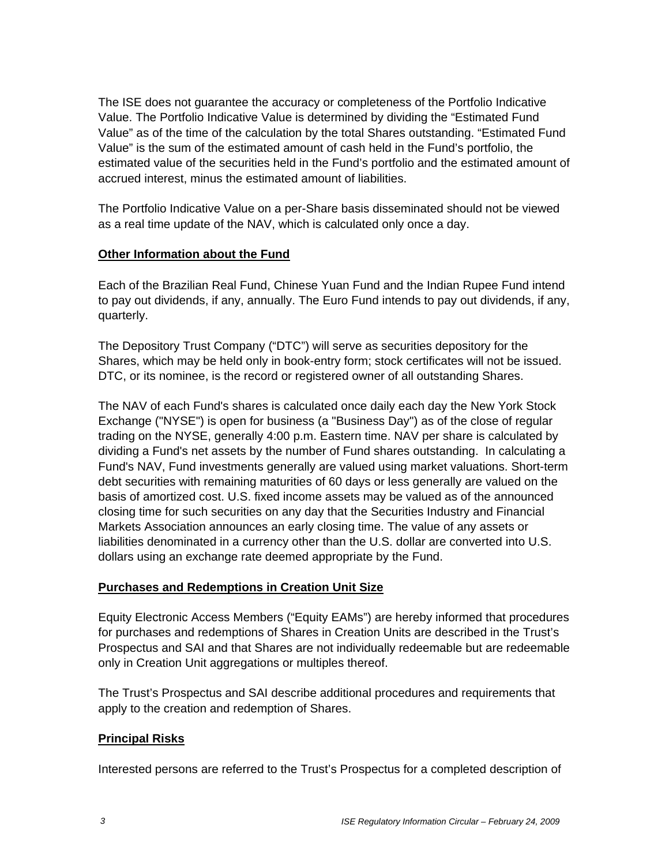The ISE does not guarantee the accuracy or completeness of the Portfolio Indicative Value. The Portfolio Indicative Value is determined by dividing the "Estimated Fund Value" as of the time of the calculation by the total Shares outstanding. "Estimated Fund Value" is the sum of the estimated amount of cash held in the Fund's portfolio, the estimated value of the securities held in the Fund's portfolio and the estimated amount of accrued interest, minus the estimated amount of liabilities.

The Portfolio Indicative Value on a per-Share basis disseminated should not be viewed as a real time update of the NAV, which is calculated only once a day.

#### **Other Information about the Fund**

Each of the Brazilian Real Fund, Chinese Yuan Fund and the Indian Rupee Fund intend to pay out dividends, if any, annually. The Euro Fund intends to pay out dividends, if any, quarterly.

The Depository Trust Company ("DTC") will serve as securities depository for the Shares, which may be held only in book-entry form; stock certificates will not be issued. DTC, or its nominee, is the record or registered owner of all outstanding Shares.

The NAV of each Fund's shares is calculated once daily each day the New York Stock Exchange ("NYSE") is open for business (a "Business Day") as of the close of regular trading on the NYSE, generally 4:00 p.m. Eastern time. NAV per share is calculated by dividing a Fund's net assets by the number of Fund shares outstanding. In calculating a Fund's NAV, Fund investments generally are valued using market valuations. Short-term debt securities with remaining maturities of 60 days or less generally are valued on the basis of amortized cost. U.S. fixed income assets may be valued as of the announced closing time for such securities on any day that the Securities Industry and Financial Markets Association announces an early closing time. The value of any assets or liabilities denominated in a currency other than the U.S. dollar are converted into U.S. dollars using an exchange rate deemed appropriate by the Fund.

#### **Purchases and Redemptions in Creation Unit Size**

Equity Electronic Access Members ("Equity EAMs") are hereby informed that procedures for purchases and redemptions of Shares in Creation Units are described in the Trust's Prospectus and SAI and that Shares are not individually redeemable but are redeemable only in Creation Unit aggregations or multiples thereof.

The Trust's Prospectus and SAI describe additional procedures and requirements that apply to the creation and redemption of Shares.

# **Principal Risks**

Interested persons are referred to the Trust's Prospectus for a completed description of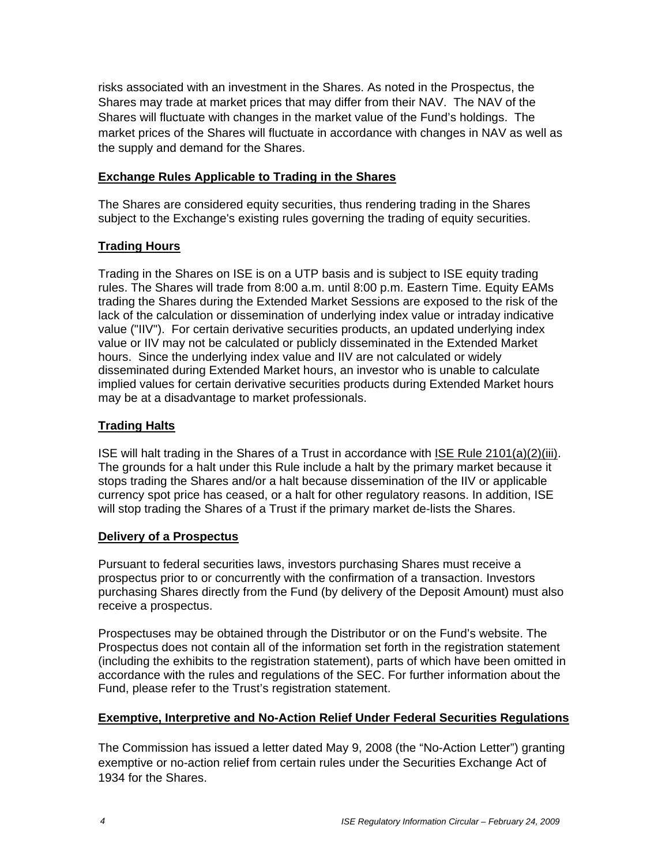risks associated with an investment in the Shares. As noted in the Prospectus, the Shares may trade at market prices that may differ from their NAV. The NAV of the Shares will fluctuate with changes in the market value of the Fund's holdings. The market prices of the Shares will fluctuate in accordance with changes in NAV as well as the supply and demand for the Shares.

#### **Exchange Rules Applicable to Trading in the Shares**

The Shares are considered equity securities, thus rendering trading in the Shares subject to the Exchange's existing rules governing the trading of equity securities.

# **Trading Hours**

Trading in the Shares on ISE is on a UTP basis and is subject to ISE equity trading rules. The Shares will trade from 8:00 a.m. until 8:00 p.m. Eastern Time. Equity EAMs trading the Shares during the Extended Market Sessions are exposed to the risk of the lack of the calculation or dissemination of underlying index value or intraday indicative value ("IIV"). For certain derivative securities products, an updated underlying index value or IIV may not be calculated or publicly disseminated in the Extended Market hours. Since the underlying index value and IIV are not calculated or widely disseminated during Extended Market hours, an investor who is unable to calculate implied values for certain derivative securities products during Extended Market hours may be at a disadvantage to market professionals.

## **Trading Halts**

ISE will halt trading in the Shares of a Trust in accordance with ISE Rule 2101(a)(2)(iii). The grounds for a halt under this Rule include a halt by the primary market because it stops trading the Shares and/or a halt because dissemination of the IIV or applicable currency spot price has ceased, or a halt for other regulatory reasons. In addition, ISE will stop trading the Shares of a Trust if the primary market de-lists the Shares.

#### **Delivery of a Prospectus**

Pursuant to federal securities laws, investors purchasing Shares must receive a prospectus prior to or concurrently with the confirmation of a transaction. Investors purchasing Shares directly from the Fund (by delivery of the Deposit Amount) must also receive a prospectus.

Prospectuses may be obtained through the Distributor or on the Fund's website. The Prospectus does not contain all of the information set forth in the registration statement (including the exhibits to the registration statement), parts of which have been omitted in accordance with the rules and regulations of the SEC. For further information about the Fund, please refer to the Trust's registration statement.

# **Exemptive, Interpretive and No-Action Relief Under Federal Securities Regulations**

The Commission has issued a letter dated May 9, 2008 (the "No-Action Letter") granting exemptive or no-action relief from certain rules under the Securities Exchange Act of 1934 for the Shares.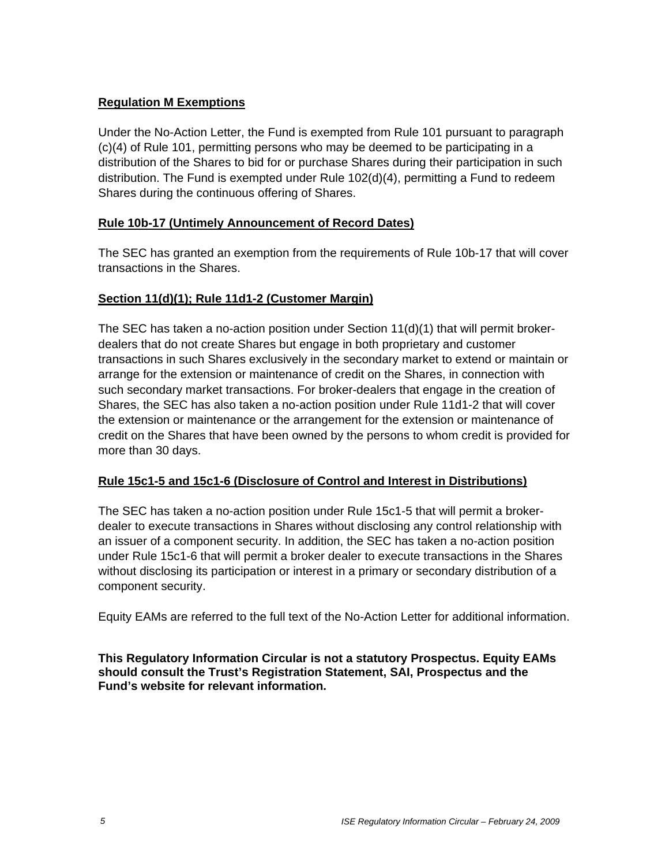# **Regulation M Exemptions**

Under the No-Action Letter, the Fund is exempted from Rule 101 pursuant to paragraph (c)(4) of Rule 101, permitting persons who may be deemed to be participating in a distribution of the Shares to bid for or purchase Shares during their participation in such distribution. The Fund is exempted under Rule 102(d)(4), permitting a Fund to redeem Shares during the continuous offering of Shares.

## **Rule 10b-17 (Untimely Announcement of Record Dates)**

The SEC has granted an exemption from the requirements of Rule 10b-17 that will cover transactions in the Shares.

## **Section 11(d)(1); Rule 11d1-2 (Customer Margin)**

The SEC has taken a no-action position under Section  $11(d)(1)$  that will permit brokerdealers that do not create Shares but engage in both proprietary and customer transactions in such Shares exclusively in the secondary market to extend or maintain or arrange for the extension or maintenance of credit on the Shares, in connection with such secondary market transactions. For broker-dealers that engage in the creation of Shares, the SEC has also taken a no-action position under Rule 11d1-2 that will cover the extension or maintenance or the arrangement for the extension or maintenance of credit on the Shares that have been owned by the persons to whom credit is provided for more than 30 days.

#### **Rule 15c1-5 and 15c1-6 (Disclosure of Control and Interest in Distributions)**

The SEC has taken a no-action position under Rule 15c1-5 that will permit a brokerdealer to execute transactions in Shares without disclosing any control relationship with an issuer of a component security. In addition, the SEC has taken a no-action position under Rule 15c1-6 that will permit a broker dealer to execute transactions in the Shares without disclosing its participation or interest in a primary or secondary distribution of a component security.

Equity EAMs are referred to the full text of the No-Action Letter for additional information.

**This Regulatory Information Circular is not a statutory Prospectus. Equity EAMs should consult the Trust's Registration Statement, SAI, Prospectus and the Fund's website for relevant information.**